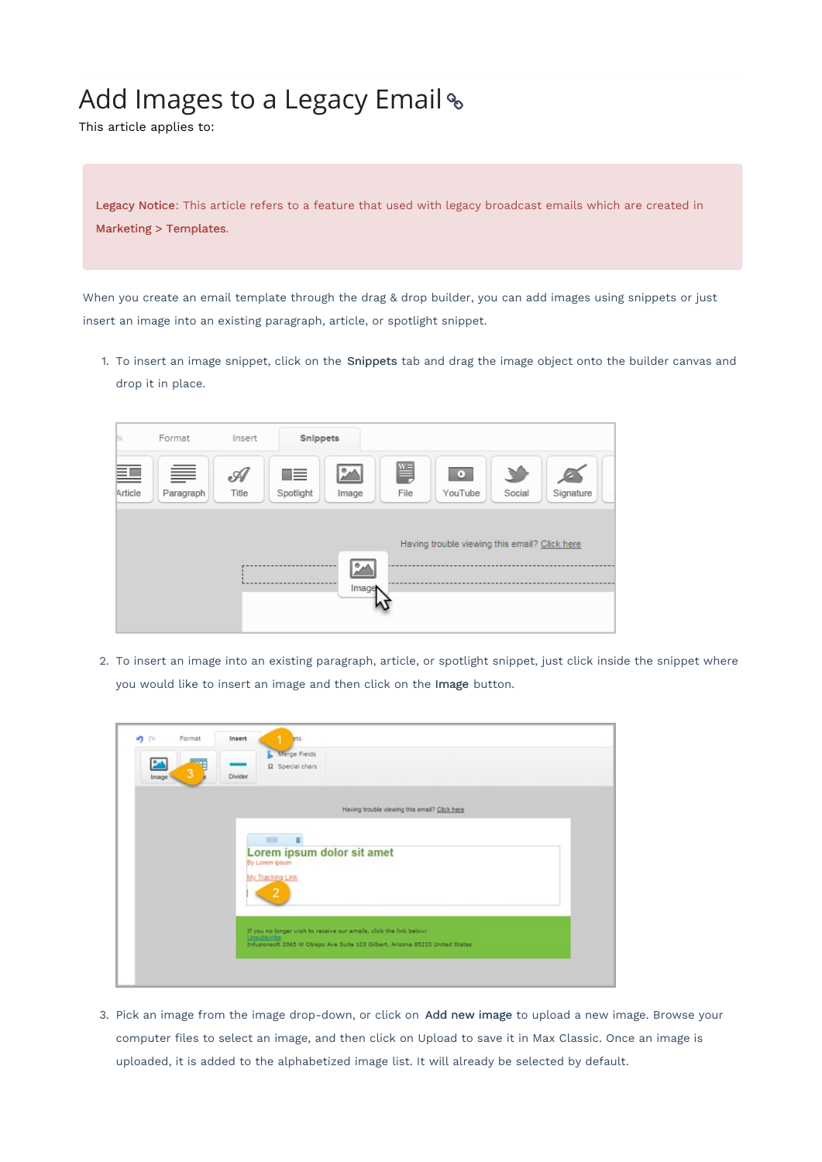## Add Images to a Legacy Email %

This article applies to:

Legacy Notice: This article refers to a feature that used with legacy broadcast emails which are created in Marketing > Templates.

When you create an email template through the drag & drop builder, you can add images using snippets or just insert an image into an existing paragraph, article, or spotlight snippet.

1. To insert an image snippet, click on the Snippets tab and drag the image object onto the builder canvas and drop it in place.



2. To insert an image into an existing paragraph, article, or spotlight snippet, just click inside the snippet where you would like to insert an image and then click on the Image button.

| っぺ<br>24 | Format<br>Insert | <b>ets</b><br>Merge Fields<br>$\Omega$ Special chars                              |
|----------|------------------|-----------------------------------------------------------------------------------|
| Image    | Divider          |                                                                                   |
|          |                  | Having trouble viewing this email? Click here                                     |
|          |                  | Lorem ipsum dolor sit amet<br>By Lorem ipsum<br>My Tracking Link<br>2             |
|          |                  | If you no longer wish to receive our emails, click the link below:<br>Unsubscribe |

3. Pick an image from the image drop-down, or click on Add new image to upload a new image. Browse your computer files to select an image, and then click on Upload to save it in Max Classic. Once an image is uploaded, it is added to the alphabetized image list. It will already be selected by default.